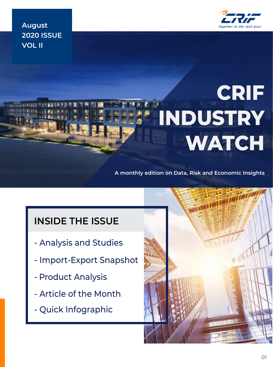

**August 2020 ISSUE VOL II**

# **CRIF INDUSTRY WATCH**

**A monthly edition on Data, Risk and Economic Insights**

# **INSIDE THE ISSUE**

- Analysis and Studies
- Import-Export Snapshot
- Product Analysis
- Article of the Month
- Quick Infographic

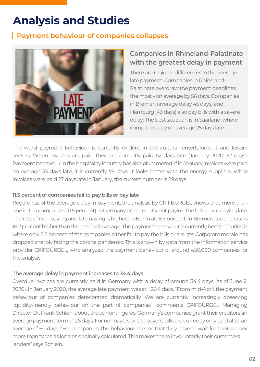# **Analysis and Studies**

### **Payment behaviour of companies collapses**



### **Companies in Rhineland-Palatinate with the greatest delay in payment**

There are regional differences in the average late payment. Companies in Rhineland-Palatinate overdraw the payment deadlines the most - on average by 56 days. Companies in Bremen (average delay 45 days) and Hamburg (43 days) also pay bills with a severe delay. The best situation is in Saarland, where companies pay on average 25 days late.

The worst payment behaviour is currently evident in the cultural, entertainment and leisure sectors. When invoices are paid, they are currently paid 62 days late (January 2020: 32 days). Payment behaviour in the hospitality industry has also plummeted. If in January invoices were paid on average 33 days late, it is currently 59 days. It looks better with the energy suppliers. While invoices were paid 27 days late in January, the current number is 29 days.

#### **11.5 percent of companies fail to pay bills or pay late**

Regardless of the average delay in payment, the analysis by CRIFBÜRGEL shows that more than one in ten companies (11.5 percent) in Germany are currently not paying the bills or are paying late. The rate of non-paying and late paying is highest in Berlin at 18.9 percent. In Bremen, too the rate is 18.2 percent higher than the national average. The payment behaviour is currently best in Thuringia where only 8.2 percent of the companies either fail to pay the bills or are late Corporate morale has dropped sharply facing the corona pandemic. This is shown by data from the information service provider CRIFBÜRGEL, who analyzed the payment behaviour of around 450,000 companies for the analysis.

#### **The average delay in payment increases to 34.4 days**

Overdue invoices are currently paid in Germany with a delay of around 34.4 days (as of June 2, 2020). In January 2020, the average late payment was still 26.4 days. "From mid-April, the payment behaviour of companies deteriorated dramatically. We are currently increasingly observing liquidity-friendly behaviour on the part of companies", comments CRIFBÜRGEL Managing Director Dr. Frank Schlein about the current figures. Germany's companies grant their creditors an average payment term of 26 days. For nonpayers or late payers, bills are currently only paid after an average of 60 days. "For companies, the behaviour means that they have to wait for their money more than twice as long as originally calculated. This makes them involuntarily their customers lenders" says Schlein.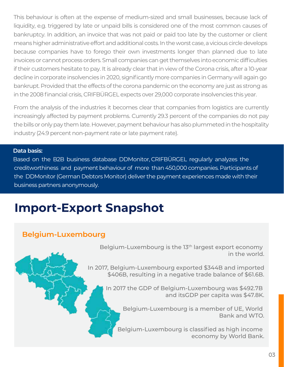This behaviour is often at the expense of medium-sized and small businesses, because lack of liquidity, e.g. triggered by late or unpaid bills is considered one of the most common causes of bankruptcy. In addition, an invoice that was not paid or paid too late by the customer or client means higher administrative effort and additional costs. In the worst case, a vicious circle develops because companies have to forego their own investments longer than planned due to late invoices or cannot process orders. Small companies can get themselves into economic difficulties if their customers hesitate to pay. It is already clear that in view of the Corona crisis, after a 10-year decline in corporate insolvencies in 2020, significantly more companies in Germany will again go bankrupt. Provided that the effects of the corona pandemic on the economy are just as strong as in the 2008 financial crisis, CRIFBÜRGEL expects over 29,000 corporate insolvencies this year.

From the analysis of the industries it becomes clear that companies from logistics are currently increasingly affected by payment problems. Currently 29.3 percent of the companies do not pay the bills or only pay them late. However, payment behaviour has also plummeted in the hospitality industry (24.9 percent non-payment rate or late payment rate).

#### **Data basis:**

Based on the B2B business database DDMonitor, CRIFBÜRGEL regularly analyzes the creditworthiness and payment behaviour of more than 450,000 companies. Participants of the DDMonitor (German Debtors Monitor) deliver the payment experiences made with their business partners anonymously.

# **Import-Export Snapshot**

### **Belgium-Luxembourg**

Belgium-Luxembourg is the 13th largest export economy in the world.

In 2017, Belgium-Luxembourg exported \$344B and imported \$406B, resulting in a negative trade balance of \$61.6B.

In 2017 the GDP of Belgium-Luxembourg was \$492.7B and itsGDP per capita was \$47.8K.

> Belgium-Luxembourg is a member of UE, World Bank and WTO.

Belgium-Luxembourg is classified as high income economy by World Bank.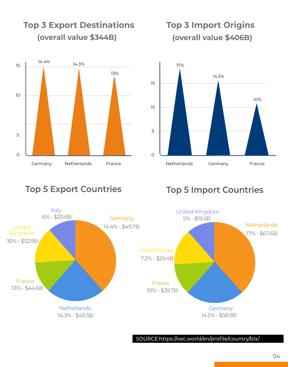

# **Top 3 Export Destinations (overall value \$344B)**

# **Top 3 Import Origins (overall value \$406B)**



### **Germany** 14.4% - \$49.7B Netherlands **Germany** Germany France France France Italy United Kingdom 10% - \$32.9B United States 7.2% - \$29.4B 14.3% - \$49.3B 6% - \$20.6B 13% - \$44.6B 10% - \$39.7B

# **Top 5 Export Countries Top 5 Import Countries**



SOURCE:https://oec.world/en/profile/country/bIx/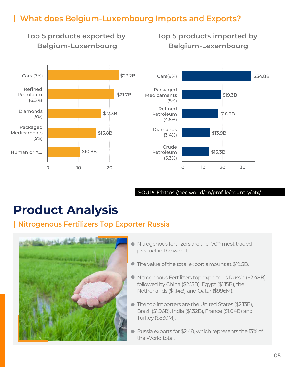## **What does Belgium-Luxembourg Imports and Exports?**

**Top 5 products exported by Belgium-Luxembourg**

**Top 5 products imported by Belgium-Lexembourg**



#### SOURCE:https://oec.world/en/profile/country/bIx/

# **Product Analysis**

### **Nitrogenous Fertilizers Top Exporter Russia**



- Nitrogenous fertilizers are the 170<sup>th</sup> most traded product in the world.
- The value of the total export amount at \$19.5B.
- Nitrogenous Fertilizers top exporter is Russia (\$2.48B), followed by China (\$2.15B), Egypt (\$1.15B), the Netherlands (\$1.14B) and Qatar (\$996M).
- The top importers are the United States (\$2.13B), Brazil (\$1.96B), India (\$1.32B), France (\$1.04B) and Turkey (\$830M).
- Russia exports for \$2.48, which represents the 13% of the World total.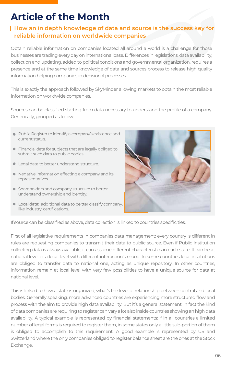# **Article of the Month**

### **How an in depth knowledge of data and source is the success key for reliable information on worldwide companies**

Obtain reliable information on companies located all around a world is a challenge for those businesses are trading every day on international base. Differences in legislations, data availability, collection and updating, added to political conditions and governmental organization, requires a presence and at the same time knowledge of data and sources process to release high quality information helping companies in decisional processes.

This is exactly the approach followed by SkyMinder allowing markets to obtain the most reliable information on worldwide companies.

Sources can be classified starting from data necessary to understand the profile of a company. Generically, grouped as follow:

- Public Register to identify a company's existence and current status.
- **•** Financial data for subjects that are legally obliged to submit such data to public bodies.
- $\bullet$  Legal data to better understand structure.
- Negative information affecting a company and its representatives.
- **•** Shareholders and company structure to better understand ownership and identity.
- Local data: additional data to beltter classify company, like industry, certifications.



If source can be classified as above, data collection is linked to countries specificities.

First of all legislative requirements in companies data management: every country is different in rules are requesting companies to transmit their data to public source. Even if Public Institution collecting data is always available, it can assume different characteristics in each state. It can be at national level or a local level with different interaction's mood. In some countries local institutions are obliged to transfer data to national one, acting as unique repository. In other countries, information remain at local level with very few possibilities to have a unique source for data at national level.

This is linked to how a state is organized, what's the level of relationship between central and local bodies. Generally speaking, more advanced countries are experiencing more structured flow and process with the aim to provide high data availability. But it's a general statement, in fact the kind of data companies are requiring to register can vary a lot also inside countries showing an high data availability. A typical example is represented by financial statements: if in all countries a limited number of legal forms is required to register them, in some states only a little sub-portion of them is obliged to accomplish to this requirement. A good example is represented by US and Switzerland where the only companies obliged to register balance sheet are the ones at the Stock Exchange.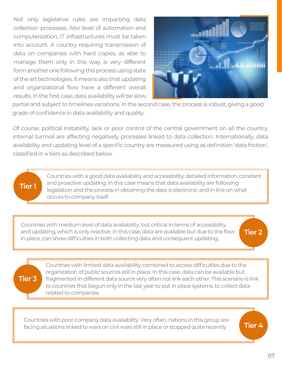Not only legislative rules are impacting data collection processes. Also level of automation and computerization, IT infrastructures must be taken into account. A country requiring transmission of data on companies with hard copies, as able to manage them only in this way, is very different form another one following this process using state of the art technologies. It means also that updating and organizational flow have a different overall results. In the first case, data availability will be slow,



partial and subject to timelines variations. In the second case, the process is robust, giving a good grade of confidence in data availability and quality.

Of course, political instability, lack or poor control of the central government on all the country, internal turmoil are affecting negatively processes linked to data collection. Internationally, data availability and updating level of a specific country are measured using as definition 'data friction', classified in 4 tiers as described below.

#### **Tier 1**

Countries with a good data availability and accessibility: detailed information, constant and proactive updating. In this case means that data availability are following legislation and the process in obtaining the data is electronic and in line on what occurs to company itself.

Countries with medium level of data availability, but critical in terms of accessibility and updating, which is only reactive. In this case, data are available but due to the flow in place, can show difficulties in both collecting data and consequent updating.

**Tier 2**

**Tier 4**

# **Tier 3**

Countries with limited data availability combined to access difficulties due to the organization of public sources still in place. In this case, data can be available but fragmented in different data source very often not link each other. This scenario is link to countries that begun only in the last year to put in place systems. to collect data related to companies

Countries with poor company data availability. Very often, nations in this group are facing situations linked to wars on civil wars still in place or stopped quite recently.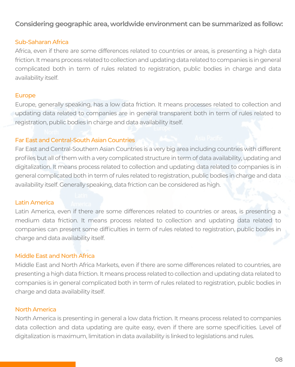#### **Considering geographic area, worldwide environment can be summarized as follow:**

#### Sub-Saharan Africa

Africa, even if there are some differences related to countries or areas, is presenting a high data friction. It means process related to collection and updating data related to companies is in general complicated both in term of rules related to registration, public bodies in charge and data availability itself.

#### Europe

Europe, generally speaking, has a low data friction. It means processes related to collection and updating data related to companies are in general transparent both in term of rules related to registration, public bodies in charge and data availability itself.

#### Far East and Central-South Asian Countries

Far East and Central-Southern Asian Countries is a very big area including countries with different profiles but all of them with a very complicated structure in term of data availability, updating and digitalization. It means process related to collection and updating data related to companies is in general complicated both in term of rules related to registration, public bodies in charge and data availability itself. Generally speaking, data friction can be considered as high.

#### Latin America

Latin America, even if there are some differences related to countries or areas, is presenting a medium data friction. It means process related to collection and updating data related to companies can present some difficulties in term of rules related to registration, public bodies in charge and data availability itself.

#### Middle East and North Africa

Middle East and North Africa Markets, even if there are some differences related to countries, are presenting a high data friction. It means process related to collection and updating data related to companies is in general complicated both in term of rules related to registration, public bodies in charge and data availability itself.

#### North America

North America is presenting in general a low data friction. It means process related to companies data collection and data updating are quite easy, even if there are some specificities. Level of digitalization is maximum, limitation in data availability is linked to legislations and rules.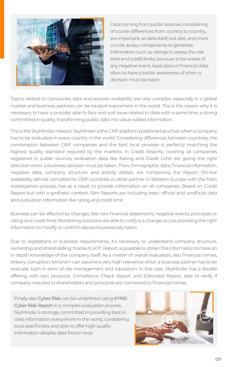

Data coming from public sources, considering of course differences from country to country, are important, as data itself, but also, and more crucial, as key components to generate information such as ratings to assess the risk level and credit limits, because to be aware of any negative event, legal data or financial data, allow to have a better awareness of when a decision must be taken.

Topics related to companies data and sources availability are very complex, especially in a global market and business partners can be located everywhere in the world. This is the reason why it is necessary to have a provider able to face and sort issue related to data with a same time a strong committed in quality, transforming public data into value added information.

This is the SkyMinder mission: SkyMinder is the CRIF platform positioned as a hub when a company has to be evaluated in every country in the world. Considering differences between countries, the combination between CRIF companies and the best local provider is perfectly matching the highest quality standard required by the markets. In Credit Reports, covering all companies registered in public sources, evaluation data like Rating and Credit Limit are giving the right direction when a business decision must be taken. Then, firmographic data, financial information, negative data, company structure and activity details, are composing the Report. On-line availability almost complete for CRIF countries or other partner in Western Europe with the fresh investigation process, has as a result to provide information on all companies. Based on Credit Report but with a synthetic content, Slim Reports are including basic official and unofficial data and evaluation information like rating and credit limit.

Business can be affected by changes, like new financial statements, negative events, principals or rating and credit limit, Monitoring Solutions are able to notify is a change occurs providing the right information to modify or confirm decisions previously taken.

Due to legislations or business requirements, it's necessary to understand company structure, ownership and shareholding: thanks to KYC Report, is possible to obtain this information to have an in depth knowledge of the company itself. As a matter of overall evaluation, also financial crimes, bribery, corruption, terrorism can assume a very high relevance when a business partner has to be evaluate, both in term of risk management and reputation. In this case, SkyMinder has a double offering with two products, Compliance Check Report and Extended Report, able to verify if company required or shareholders and principals are connected to financial crimes.

Finally also Cyber Risk can be underlined using KYND Cyber Risk Report in a complex evaluation process. SkyMinder is strongly committed in providing best in class information everywhere in the world, considering local specificities and able to offer high quality information despite data friction level.

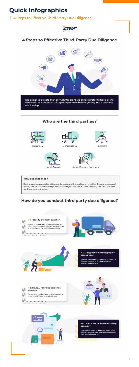# **Quick Infographics**

### **4 Steps to Effective Third-Party Due Diligence**



to any risk of business or reputation damage. This helps them identify the best partner for their requirements.

## How do you conduct third party due diligence?



#### #1: Identify the right supplier

Check potential partner's past history with<br>clients to understand the average wait time<br>and consistency in delivering products.

wwwwww





#### #2: Geographic & demographic assessment

Prepare for economic swings and currency<br>rate fluctuations when dealing with a<br>volatile market space.



#### #3: Review your due diligence process

Never stop monitoring your third parties to<br>ensure rightful and timely business.



пH



Who wouldn't like to make decisions faster?<br>Start with a Business Information Report on your potential partners.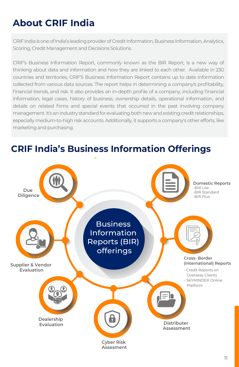# **About CRIF India**

CRIF India is one of India's leading provider of Credit Information, Business Information, Analytics, Scoring, Credit Management and Decisions Solutions.

CRIF's Business Information Report, commonly known as the BIR Report, is a new way of thinking about data and information and how they are linked to each other. Available in 230 countries and territories, CRIF'S Business Information Report contains up to date information collected from various data sources. The report helps in determining a company's profitability, financial trends, and risk. It also provides an in-depth profile of a company, including financial information, legal cases, history of business, ownership details, operational information, and details on related firms and special events that occurred in the past involving company management. It's an industry standard for evaluating both new and existing credit relationships, especially medium-to-high risk accounts. Additionally, it supports a company's other efforts, like marketing and purchasing.



# **CRIF India's Business Information Offerings**